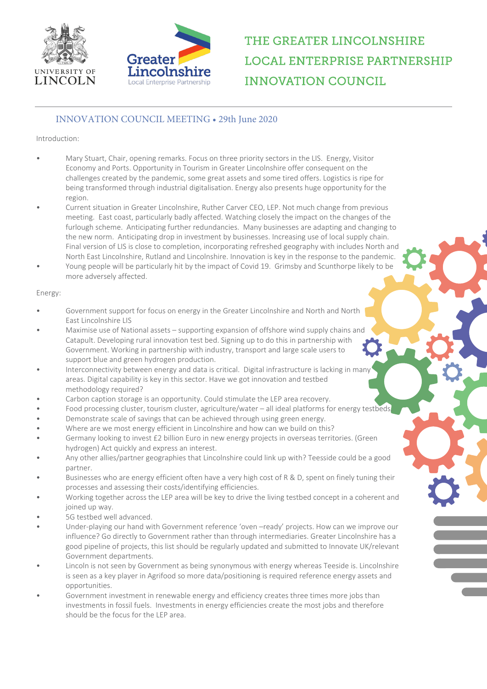



# THE GREATER LINCOLNSHIRE **LOCAL ENTERPRISE PARTNERSHIP INNOVATION COUNCIL**

### INNOVATION COUNCIL MEETING • 29th June 2020

### Introduction:

- Mary Stuart, Chair, opening remarks. Focus on three priority sectors in the LIS. Energy, Visitor Economy and Ports. Opportunity in Tourism in Greater Lincolnshire offer consequent on the challenges created by the pandemic, some great assets and some tired offers. Logistics is ripe for being transformed through industrial digitalisation. Energy also presents huge opportunity for the region.
- Current situation in Greater Lincolnshire, Ruther Carver CEO, LEP. Not much change from previous meeting. East coast, particularly badly affected. Watching closely the impact on the changes of the furlough scheme. Anticipating further redundancies. Many businesses are adapting and changing to the new norm. Anticipating drop in investment by businesses. Increasing use of local supply chain. Final version of LIS is close to completion, incorporating refreshed geography with includes North and North East Lincolnshire, Rutland and Lincolnshire. Innovation is key in the response to the pandemic.
- Young people will be particularly hit by the impact of Covid 19. Grimsby and Scunthorpe likely to be more adversely affected.

#### Energy:

- Government support for focus on energy in the Greater Lincolnshire and North and North East Lincolnshire LIS
- Maximise use of National assets supporting expansion of offshore wind supply chains and Catapult. Developing rural innovation test bed. Signing up to do this in partnership with Government. Working in partnership with industry, transport and large scale users to support blue and green hydrogen production.
- Interconnectivity between energy and data is critical. Digital infrastructure is lacking in many areas. Digital capability is key in this sector. Have we got innovation and testbed methodology required?
- Carbon caption storage is an opportunity. Could stimulate the LEP area recovery.
- Food processing cluster, tourism cluster, agriculture/water all ideal platforms for energy testbeds.
- Demonstrate scale of savings that can be achieved through using green energy.
- Where are we most energy efficient in Lincolnshire and how can we build on this?
- Germany looking to invest £2 billion Euro in new energy projects in overseas territories. (Green hydrogen) Act quickly and express an interest.
- Any other allies/partner geographies that Lincolnshire could link up with? Teesside could be a good partner.
- Businesses who are energy efficient often have a very high cost of R & D, spent on finely tuning their processes and assessing their costs/identifying efficiencies.
- Working together across the LEP area will be key to drive the living testbed concept in a coherent and joined up way.
- 5G testbed well advanced.
- Under-playing our hand with Government reference 'oven –ready' projects. How can we improve our influence? Go directly to Government rather than through intermediaries. Greater Lincolnshire has a good pipeline of projects, this list should be regularly updated and submitted to Innovate UK/relevant Government departments.
- Lincoln is not seen by Government as being synonymous with energy whereas Teeside is. Lincolnshire is seen as a key player in Agrifood so more data/positioning is required reference energy assets and opportunities.
- Government investment in renewable energy and efficiency creates three times more jobs than investments in fossil fuels. Investments in energy efficiencies create the most jobs and therefore should be the focus for the LEP area.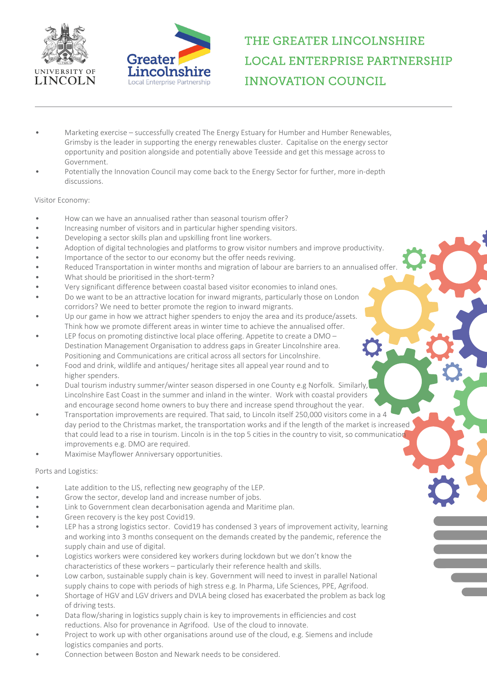



# THE GREATER LINCOLNSHIRE **LOCAL ENTERPRISE PARTNERSHIP INNOVATION COUNCIL**

- Marketing exercise successfully created The Energy Estuary for Humber and Humber Renewables, Grimsby is the leader in supporting the energy renewables cluster. Capitalise on the energy sector opportunity and position alongside and potentially above Teesside and get this message across to Government.
- Potentially the Innovation Council may come back to the Energy Sector for further, more in-depth discussions.

#### Visitor Economy:

- How can we have an annualised rather than seasonal tourism offer?
- Increasing number of visitors and in particular higher spending visitors.
- Developing a sector skills plan and upskilling front line workers.
- Adoption of digital technologies and platforms to grow visitor numbers and improve productivity.
- Importance of the sector to our economy but the offer needs reviving.
- Reduced Transportation in winter months and migration of labour are barriers to an annualised offer.
- What should be prioritised in the short-term?
- Very significant difference between coastal based visitor economies to inland ones.
- Do we want to be an attractive location for inward migrants, particularly those on London corridors? We need to better promote the region to inward migrants.
- Up our game in how we attract higher spenders to enjoy the area and its produce/assets. Think how we promote different areas in winter time to achieve the annualised offer.
- LEP focus on promoting distinctive local place offering. Appetite to create a DMO Destination Management Organisation to address gaps in Greater Lincolnshire area. Positioning and Communications are critical across all sectors for Lincolnshire.
- Food and drink, wildlife and antiques/ heritage sites all appeal year round and to higher spenders.
- Dual tourism industry summer/winter season dispersed in one County e.g Norfolk. Similarly, Lincolnshire East Coast in the summer and inland in the winter. Work with coastal providers and encourage second home owners to buy there and increase spend throughout the year.
- Transportation improvements are required. That said, to Lincoln itself 250,000 visitors come in a 4 day period to the Christmas market, the transportation works and if the length of the market is increased that could lead to a rise in tourism. Lincoln is in the top 5 cities in the country to visit, so communication improvements e.g. DMO are required.
- Maximise Mayflower Anniversary opportunities.

#### Ports and Logistics:

- Late addition to the LIS, reflecting new geography of the LEP.
- Grow the sector, develop land and increase number of jobs.
- Link to Government clean decarbonisation agenda and Maritime plan.
- Green recovery is the key post Covid19.
- LEP has a strong logistics sector. Covid19 has condensed 3 years of improvement activity, learning and working into 3 months consequent on the demands created by the pandemic, reference the supply chain and use of digital.
- Logistics workers were considered key workers during lockdown but we don't know the characteristics of these workers – particularly their reference health and skills.
- Low carbon, sustainable supply chain is key. Government will need to invest in parallel National supply chains to cope with periods of high stress e.g. In Pharma, Life Sciences, PPE, Agrifood.
- Shortage of HGV and LGV drivers and DVLA being closed has exacerbated the problem as back log of driving tests.
- Data flow/sharing in logistics supply chain is key to improvements in efficiencies and cost reductions. Also for provenance in Agrifood. Use of the cloud to innovate.
- Project to work up with other organisations around use of the cloud, e.g. Siemens and include logistics companies and ports.
- Connection between Boston and Newark needs to be considered.